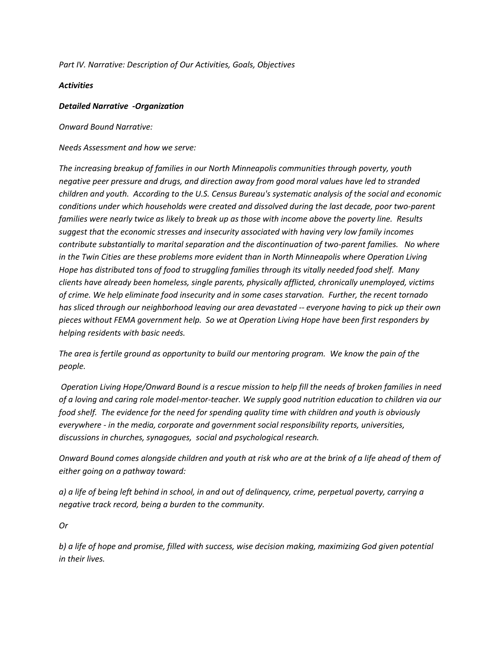*Part IV. Narrative: Description of Our Activities, Goals, Objectives*

## *Activities*

### *Detailed Narrative -Organization*

#### *Onward Bound Narrative:*

*Needs Assessment and how we serve:*

*The increasing breakup of families in our North Minneapolis communities through poverty, youth negative peer pressure and drugs, and direction away from good moral values have led to stranded children and youth. According to the U.S. Census Bureau's systematic analysis of the social and economic conditions under which households were created and dissolved during the last decade, poor two-parent families were nearly twice as likely to break up as those with income above the poverty line. Results suggest that the economic stresses and insecurity associated with having very low family incomes contribute substantially to marital separation and the discontinuation of two-parent families. No where in the Twin Cities are these problems more evident than in North Minneapolis where Operation Living Hope has distributed tons of food to struggling families through its vitally needed food shelf. Many clients have already been homeless, single parents, physically afflicted, chronically unemployed, victims of crime. We help eliminate food insecurity and in some cases starvation. Further, the recent tornado has sliced through our neighborhood leaving our area devastated -- everyone having to pick up their own pieces without FEMA government help. So we at Operation Living Hope have been first responders by helping residents with basic needs.*

*The area is fertile ground as opportunity to build our mentoring program. We know the pain of the people.*

*Operation Living Hope/Onward Bound is a rescue mission to help fill the needs of broken families in need of a loving and caring role model-mentor-teacher. We supply good nutrition education to children via our food shelf. The evidence for the need for spending quality time with children and youth is obviously everywhere - in the media, corporate and government social responsibility reports, universities, discussions in churches, synagogues, social and psychological research.* 

*Onward Bound comes alongside children and youth at risk who are at the brink of a life ahead of them of either going on a pathway toward:*

*a) a life of being left behind in school, in and out of delinquency, crime, perpetual poverty, carrying a negative track record, being a burden to the community.* 

*Or*

*b) a life of hope and promise, filled with success, wise decision making, maximizing God given potential in their lives.*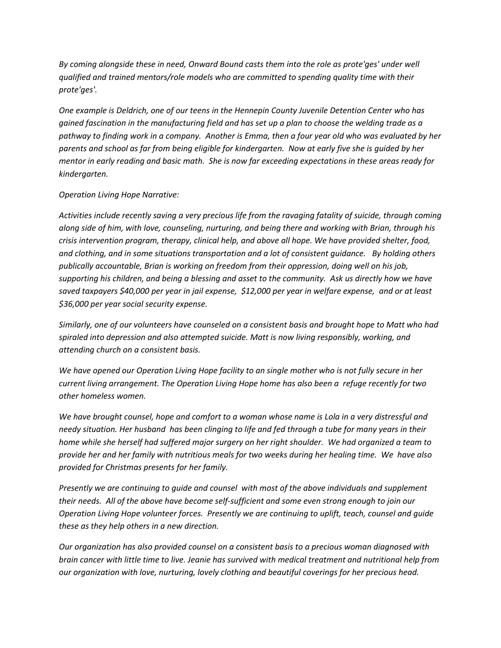*By coming alongside these in need, Onward Bound casts them into the role as prote'ges' under well qualified and trained mentors/role models who are committed to spending quality time with their prote'ges'.* 

*One example is Deldrich, one of our teens in the Hennepin County Juvenile Detention Center who has gained fascination in the manufacturing field and has set up a plan to choose the welding trade as a pathway to finding work in a company. Another is Emma, then a four year old who was evaluated by her parents and school as far from being eligible for kindergarten. Now at early five she is guided by her mentor in early reading and basic math. She is now far exceeding expectations in these areas ready for kindergarten.*

# *Operation Living Hope Narrative:*

*Activities include recently saving a very precious life from the ravaging fatality of suicide, through coming along side of him, with love, counseling, nurturing, and being there and working with Brian, through his crisis intervention program, therapy, clinical help, and above all hope. We have provided shelter, food, and clothing, and in some situations transportation and a lot of consistent guidance. By holding others publically accountable, Brian is working on freedom from their oppression, doing well on his job, supporting his children, and being a blessing and asset to the community. Ask us directly how we have saved taxpayers \$40,000 per year in jail expense, \$12,000 per year in welfare expense, and or at least \$36,000 per year social security expense.*

*Similarly, one of our volunteers have counseled on a consistent basis and brought hope to Matt who had spiraled into depression and also attempted suicide. Matt is now living responsibly, working, and attending church on a consistent basis.* 

*We have opened our Operation Living Hope facility to an single mother who is not fully secure in her current living arrangement. The Operation Living Hope home has also been a refuge recently for two other homeless women.* 

*We have brought counsel, hope and comfort to a woman whose name is Lola in a very distressful and needy situation. Her husband has been clinging to life and fed through a tube for many years in their home while she herself had suffered major surgery on her right shoulder. We had organized a team to provide her and her family with nutritious meals for two weeks during her healing time. We have also provided for Christmas presents for her family.*

*Presently we are continuing to guide and counsel with most of the above individuals and supplement their needs. All of the above have become self-sufficient and some even strong enough to join our Operation Living Hope volunteer forces. Presently we are continuing to uplift, teach, counsel and guide these as they help others in a new direction.* 

*Our organization has also provided counsel on a consistent basis to a precious woman diagnosed with brain cancer with little time to live. Jeanie has survived with medical treatment and nutritional help from our organization with love, nurturing, lovely clothing and beautiful coverings for her precious head.*